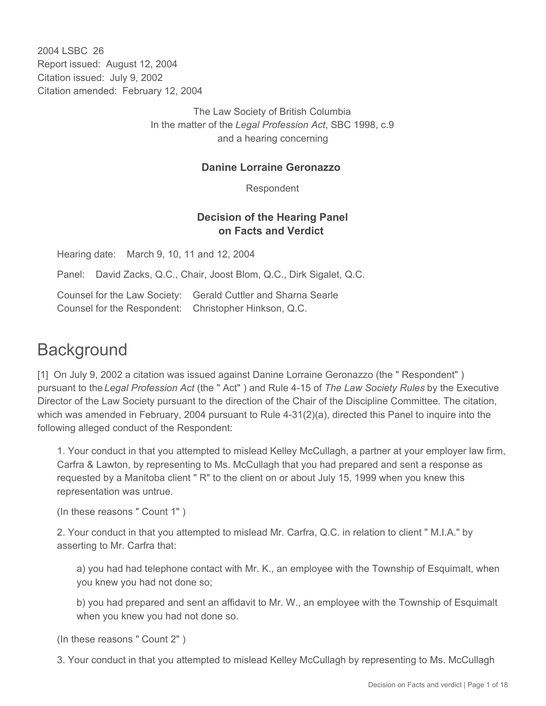2004 LSBC 26 Report issued: August 12, 2004 Citation issued: July 9, 2002 Citation amended: February 12, 2004

> The Law Society of British Columbia In the matter of the *Legal Profession Act*, SBC 1998, c.9 and a hearing concerning

### **Danine Lorraine Geronazzo**

Respondent

## **Decision of the Hearing Panel on Facts and Verdict**

Hearing date: March 9, 10, 11 and 12, 2004

Panel: David Zacks, Q.C., Chair, Joost Blom, Q.C., Dirk Sigalet, Q.C.

Counsel for the Law Society: Gerald Cuttler and Sharna Searle Counsel for the Respondent: Christopher Hinkson, Q.C.

# **Background**

[1] On July 9, 2002 a citation was issued against Danine Lorraine Geronazzo (the " Respondent" ) pursuant to the *Legal Profession Act* (the " Act" ) and Rule 4-15 of *The Law Society Rules* by the Executive Director of the Law Society pursuant to the direction of the Chair of the Discipline Committee. The citation, which was amended in February, 2004 pursuant to Rule 4-31(2)(a), directed this Panel to inquire into the following alleged conduct of the Respondent:

1. Your conduct in that you attempted to mislead Kelley McCullagh, a partner at your employer law firm, Carfra & Lawton, by representing to Ms. McCullagh that you had prepared and sent a response as requested by a Manitoba client " R" to the client on or about July 15, 1999 when you knew this representation was untrue.

(In these reasons " Count 1" )

2. Your conduct in that you attempted to mislead Mr. Carfra, Q.C. in relation to client " M.I.A." by asserting to Mr. Carfra that:

a) you had had telephone contact with Mr. K., an employee with the Township of Esquimalt, when you knew you had not done so;

b) you had prepared and sent an affidavit to Mr. W., an employee with the Township of Esquimalt when you knew you had not done so.

(In these reasons " Count 2" )

3. Your conduct in that you attempted to mislead Kelley McCullagh by representing to Ms. McCullagh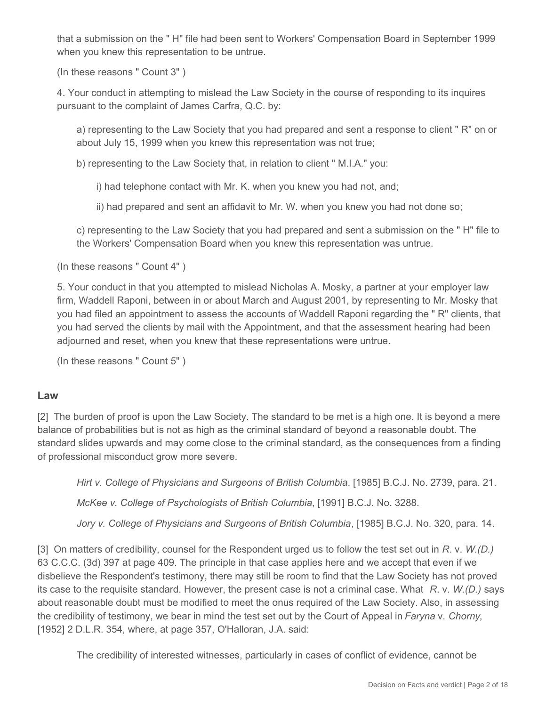that a submission on the " H" file had been sent to Workers' Compensation Board in September 1999 when you knew this representation to be untrue.

(In these reasons " Count 3" )

4. Your conduct in attempting to mislead the Law Society in the course of responding to its inquires pursuant to the complaint of James Carfra, Q.C. by:

a) representing to the Law Society that you had prepared and sent a response to client " R" on or about July 15, 1999 when you knew this representation was not true;

b) representing to the Law Society that, in relation to client " M.I.A." you:

i) had telephone contact with Mr. K. when you knew you had not, and;

ii) had prepared and sent an affidavit to Mr. W. when you knew you had not done so;

c) representing to the Law Society that you had prepared and sent a submission on the " H" file to the Workers' Compensation Board when you knew this representation was untrue.

(In these reasons " Count 4" )

5. Your conduct in that you attempted to mislead Nicholas A. Mosky, a partner at your employer law firm, Waddell Raponi, between in or about March and August 2001, by representing to Mr. Mosky that you had filed an appointment to assess the accounts of Waddell Raponi regarding the " R" clients, that you had served the clients by mail with the Appointment, and that the assessment hearing had been adjourned and reset, when you knew that these representations were untrue.

(In these reasons " Count 5" )

#### **Law**

[2] The burden of proof is upon the Law Society. The standard to be met is a high one. It is beyond a mere balance of probabilities but is not as high as the criminal standard of beyond a reasonable doubt. The standard slides upwards and may come close to the criminal standard, as the consequences from a finding of professional misconduct grow more severe.

*Hirt v. College of Physicians and Surgeons of British Columbia*, [1985] B.C.J. No. 2739, para. 21.

*McKee v. College of Psychologists of British Columbia*, [1991] B.C.J. No. 3288.

*Jory v. College of Physicians and Surgeons of British Columbia*, [1985] B.C.J. No. 320, para. 14.

[3] On matters of credibility, counsel for the Respondent urged us to follow the test set out in *R*. v. *W.(D.)* 63 C.C.C. (3d) 397 at page 409. The principle in that case applies here and we accept that even if we disbelieve the Respondent's testimony, there may still be room to find that the Law Society has not proved its case to the requisite standard. However, the present case is not a criminal case. What *R*. v. *W.(D.)* says about reasonable doubt must be modified to meet the onus required of the Law Society. Also, in assessing the credibility of testimony, we bear in mind the test set out by the Court of Appeal in *Faryna* v. *Chorny*, [1952] 2 D.L.R. 354, where, at page 357, O'Halloran, J.A. said:

The credibility of interested witnesses, particularly in cases of conflict of evidence, cannot be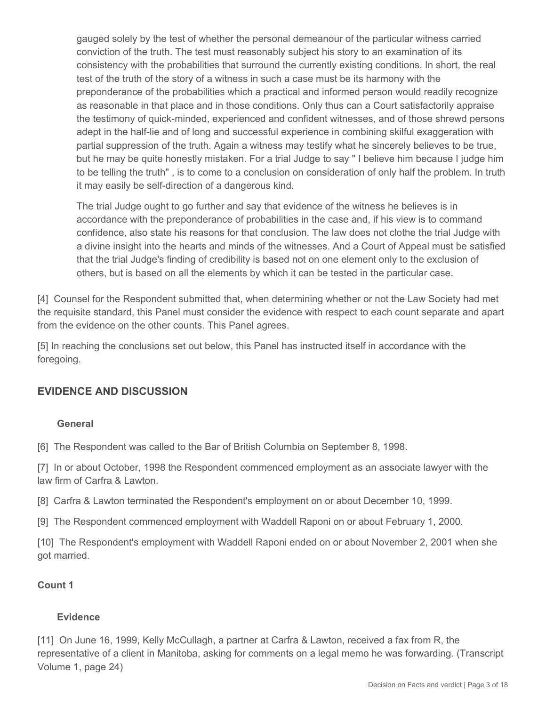gauged solely by the test of whether the personal demeanour of the particular witness carried conviction of the truth. The test must reasonably subject his story to an examination of its consistency with the probabilities that surround the currently existing conditions. In short, the real test of the truth of the story of a witness in such a case must be its harmony with the preponderance of the probabilities which a practical and informed person would readily recognize as reasonable in that place and in those conditions. Only thus can a Court satisfactorily appraise the testimony of quick-minded, experienced and confident witnesses, and of those shrewd persons adept in the half-lie and of long and successful experience in combining skilful exaggeration with partial suppression of the truth. Again a witness may testify what he sincerely believes to be true, but he may be quite honestly mistaken. For a trial Judge to say " I believe him because I judge him to be telling the truth" , is to come to a conclusion on consideration of only half the problem. In truth it may easily be self-direction of a dangerous kind.

The trial Judge ought to go further and say that evidence of the witness he believes is in accordance with the preponderance of probabilities in the case and, if his view is to command confidence, also state his reasons for that conclusion. The law does not clothe the trial Judge with a divine insight into the hearts and minds of the witnesses. And a Court of Appeal must be satisfied that the trial Judge's finding of credibility is based not on one element only to the exclusion of others, but is based on all the elements by which it can be tested in the particular case.

[4] Counsel for the Respondent submitted that, when determining whether or not the Law Society had met the requisite standard, this Panel must consider the evidence with respect to each count separate and apart from the evidence on the other counts. This Panel agrees.

[5] In reaching the conclusions set out below, this Panel has instructed itself in accordance with the foregoing.

# **EVIDENCE AND DISCUSSION**

#### **General**

[6] The Respondent was called to the Bar of British Columbia on September 8, 1998.

[7] In or about October, 1998 the Respondent commenced employment as an associate lawyer with the law firm of Carfra & Lawton.

[8] Carfra & Lawton terminated the Respondent's employment on or about December 10, 1999.

[9] The Respondent commenced employment with Waddell Raponi on or about February 1, 2000.

[10] The Respondent's employment with Waddell Raponi ended on or about November 2, 2001 when she got married.

#### **Count 1**

#### **Evidence**

[11] On June 16, 1999, Kelly McCullagh, a partner at Carfra & Lawton, received a fax from R, the representative of a client in Manitoba, asking for comments on a legal memo he was forwarding. (Transcript Volume 1, page 24)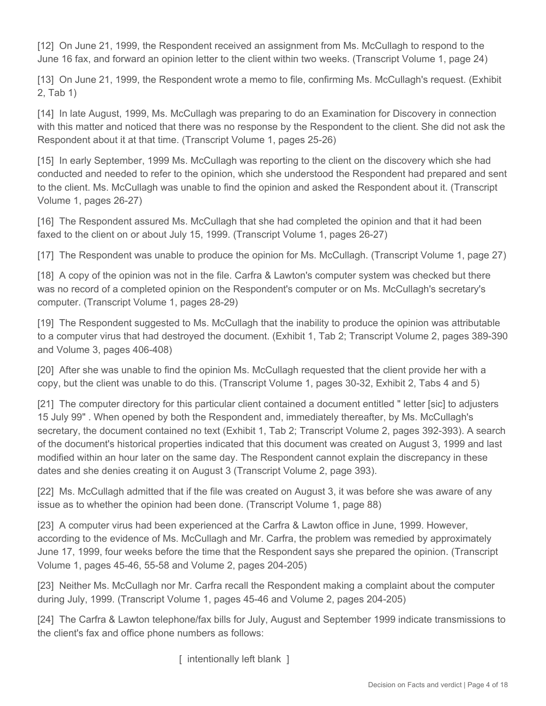[12] On June 21, 1999, the Respondent received an assignment from Ms. McCullagh to respond to the June 16 fax, and forward an opinion letter to the client within two weeks. (Transcript Volume 1, page 24)

[13] On June 21, 1999, the Respondent wrote a memo to file, confirming Ms. McCullagh's request. (Exhibit 2, Tab 1)

[14] In late August, 1999, Ms. McCullagh was preparing to do an Examination for Discovery in connection with this matter and noticed that there was no response by the Respondent to the client. She did not ask the Respondent about it at that time. (Transcript Volume 1, pages 25-26)

[15] In early September, 1999 Ms. McCullagh was reporting to the client on the discovery which she had conducted and needed to refer to the opinion, which she understood the Respondent had prepared and sent to the client. Ms. McCullagh was unable to find the opinion and asked the Respondent about it. (Transcript Volume 1, pages 26-27)

[16] The Respondent assured Ms. McCullagh that she had completed the opinion and that it had been faxed to the client on or about July 15, 1999. (Transcript Volume 1, pages 26-27)

[17] The Respondent was unable to produce the opinion for Ms. McCullagh. (Transcript Volume 1, page 27)

[18] A copy of the opinion was not in the file. Carfra & Lawton's computer system was checked but there was no record of a completed opinion on the Respondent's computer or on Ms. McCullagh's secretary's computer. (Transcript Volume 1, pages 28-29)

[19] The Respondent suggested to Ms. McCullagh that the inability to produce the opinion was attributable to a computer virus that had destroyed the document. (Exhibit 1, Tab 2; Transcript Volume 2, pages 389-390 and Volume 3, pages 406-408)

[20] After she was unable to find the opinion Ms. McCullagh requested that the client provide her with a copy, but the client was unable to do this. (Transcript Volume 1, pages 30-32, Exhibit 2, Tabs 4 and 5)

[21] The computer directory for this particular client contained a document entitled " letter [sic] to adjusters 15 July 99" . When opened by both the Respondent and, immediately thereafter, by Ms. McCullagh's secretary, the document contained no text (Exhibit 1, Tab 2; Transcript Volume 2, pages 392-393). A search of the document's historical properties indicated that this document was created on August 3, 1999 and last modified within an hour later on the same day. The Respondent cannot explain the discrepancy in these dates and she denies creating it on August 3 (Transcript Volume 2, page 393).

[22] Ms. McCullagh admitted that if the file was created on August 3, it was before she was aware of any issue as to whether the opinion had been done. (Transcript Volume 1, page 88)

[23] A computer virus had been experienced at the Carfra & Lawton office in June, 1999. However, according to the evidence of Ms. McCullagh and Mr. Carfra, the problem was remedied by approximately June 17, 1999, four weeks before the time that the Respondent says she prepared the opinion. (Transcript Volume 1, pages 45-46, 55-58 and Volume 2, pages 204-205)

[23] Neither Ms. McCullagh nor Mr. Carfra recall the Respondent making a complaint about the computer during July, 1999. (Transcript Volume 1, pages 45-46 and Volume 2, pages 204-205)

[24] The Carfra & Lawton telephone/fax bills for July, August and September 1999 indicate transmissions to the client's fax and office phone numbers as follows:

[ intentionally left blank ]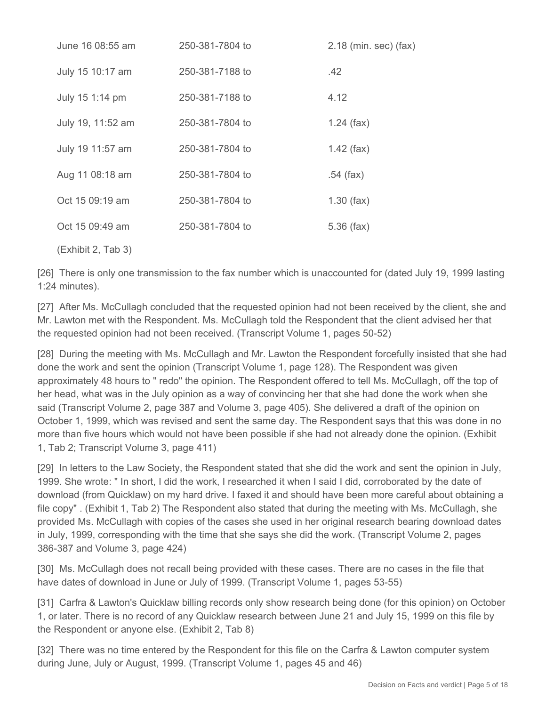| June 16 08:55 am   | 250-381-7804 to | $2.18$ (min. sec) (fax) |
|--------------------|-----------------|-------------------------|
| July 15 10:17 am   | 250-381-7188 to | .42                     |
| July 15 1:14 pm    | 250-381-7188 to | 4.12                    |
| July 19, 11:52 am  | 250-381-7804 to | $1.24$ (fax)            |
| July 19 11:57 am   | 250-381-7804 to | $1.42$ (fax)            |
| Aug 11 08:18 am    | 250-381-7804 to | $.54$ (fax)             |
| Oct 15 09:19 am    | 250-381-7804 to | $1.30$ (fax)            |
| Oct 15 09:49 am    | 250-381-7804 to | $5.36$ (fax)            |
| (Exhibit 2, Tab 3) |                 |                         |

[26] There is only one transmission to the fax number which is unaccounted for (dated July 19, 1999 lasting 1:24 minutes).

[27] After Ms. McCullagh concluded that the requested opinion had not been received by the client, she and Mr. Lawton met with the Respondent. Ms. McCullagh told the Respondent that the client advised her that the requested opinion had not been received. (Transcript Volume 1, pages 50-52)

[28] During the meeting with Ms. McCullagh and Mr. Lawton the Respondent forcefully insisted that she had done the work and sent the opinion (Transcript Volume 1, page 128). The Respondent was given approximately 48 hours to " redo" the opinion. The Respondent offered to tell Ms. McCullagh, off the top of her head, what was in the July opinion as a way of convincing her that she had done the work when she said (Transcript Volume 2, page 387 and Volume 3, page 405). She delivered a draft of the opinion on October 1, 1999, which was revised and sent the same day. The Respondent says that this was done in no more than five hours which would not have been possible if she had not already done the opinion. (Exhibit 1, Tab 2; Transcript Volume 3, page 411)

[29] In letters to the Law Society, the Respondent stated that she did the work and sent the opinion in July, 1999. She wrote: " In short, I did the work, I researched it when I said I did, corroborated by the date of download (from Quicklaw) on my hard drive. I faxed it and should have been more careful about obtaining a file copy" . (Exhibit 1, Tab 2) The Respondent also stated that during the meeting with Ms. McCullagh, she provided Ms. McCullagh with copies of the cases she used in her original research bearing download dates in July, 1999, corresponding with the time that she says she did the work. (Transcript Volume 2, pages 386-387 and Volume 3, page 424)

[30] Ms. McCullagh does not recall being provided with these cases. There are no cases in the file that have dates of download in June or July of 1999. (Transcript Volume 1, pages 53-55)

[31] Carfra & Lawton's Quicklaw billing records only show research being done (for this opinion) on October 1, or later. There is no record of any Quicklaw research between June 21 and July 15, 1999 on this file by the Respondent or anyone else. (Exhibit 2, Tab 8)

[32] There was no time entered by the Respondent for this file on the Carfra & Lawton computer system during June, July or August, 1999. (Transcript Volume 1, pages 45 and 46)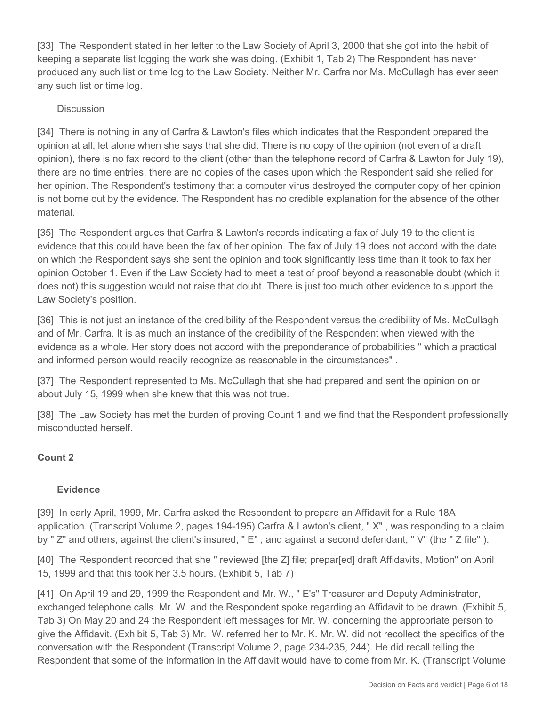[33] The Respondent stated in her letter to the Law Society of April 3, 2000 that she got into the habit of keeping a separate list logging the work she was doing. (Exhibit 1, Tab 2) The Respondent has never produced any such list or time log to the Law Society. Neither Mr. Carfra nor Ms. McCullagh has ever seen any such list or time log.

## **Discussion**

[34] There is nothing in any of Carfra & Lawton's files which indicates that the Respondent prepared the opinion at all, let alone when she says that she did. There is no copy of the opinion (not even of a draft opinion), there is no fax record to the client (other than the telephone record of Carfra & Lawton for July 19), there are no time entries, there are no copies of the cases upon which the Respondent said she relied for her opinion. The Respondent's testimony that a computer virus destroyed the computer copy of her opinion is not borne out by the evidence. The Respondent has no credible explanation for the absence of the other material.

[35] The Respondent argues that Carfra & Lawton's records indicating a fax of July 19 to the client is evidence that this could have been the fax of her opinion. The fax of July 19 does not accord with the date on which the Respondent says she sent the opinion and took significantly less time than it took to fax her opinion October 1. Even if the Law Society had to meet a test of proof beyond a reasonable doubt (which it does not) this suggestion would not raise that doubt. There is just too much other evidence to support the Law Society's position.

[36] This is not just an instance of the credibility of the Respondent versus the credibility of Ms. McCullagh and of Mr. Carfra. It is as much an instance of the credibility of the Respondent when viewed with the evidence as a whole. Her story does not accord with the preponderance of probabilities " which a practical and informed person would readily recognize as reasonable in the circumstances" .

[37] The Respondent represented to Ms. McCullagh that she had prepared and sent the opinion on or about July 15, 1999 when she knew that this was not true.

[38] The Law Society has met the burden of proving Count 1 and we find that the Respondent professionally misconducted herself.

#### **Count 2**

#### **Evidence**

[39] In early April, 1999, Mr. Carfra asked the Respondent to prepare an Affidavit for a Rule 18A application. (Transcript Volume 2, pages 194-195) Carfra & Lawton's client, " X" , was responding to a claim by " Z" and others, against the client's insured, " E", and against a second defendant, " V" (the " Z file").

[40] The Respondent recorded that she " reviewed [the Z] file; prepar[ed] draft Affidavits, Motion" on April 15, 1999 and that this took her 3.5 hours. (Exhibit 5, Tab 7)

[41] On April 19 and 29, 1999 the Respondent and Mr. W., " E's" Treasurer and Deputy Administrator, exchanged telephone calls. Mr. W. and the Respondent spoke regarding an Affidavit to be drawn. (Exhibit 5, Tab 3) On May 20 and 24 the Respondent left messages for Mr. W. concerning the appropriate person to give the Affidavit. (Exhibit 5, Tab 3) Mr. W. referred her to Mr. K. Mr. W. did not recollect the specifics of the conversation with the Respondent (Transcript Volume 2, page 234-235, 244). He did recall telling the Respondent that some of the information in the Affidavit would have to come from Mr. K. (Transcript Volume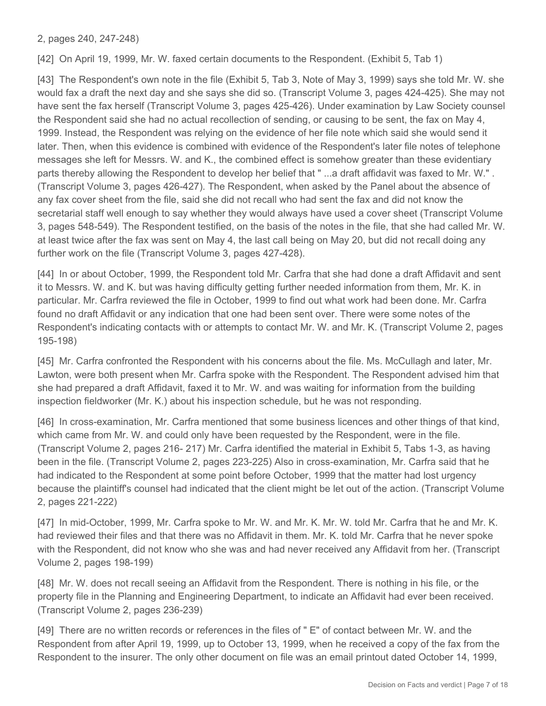2, pages 240, 247-248)

[42] On April 19, 1999, Mr. W. faxed certain documents to the Respondent. (Exhibit 5, Tab 1)

[43] The Respondent's own note in the file (Exhibit 5, Tab 3, Note of May 3, 1999) says she told Mr. W. she would fax a draft the next day and she says she did so. (Transcript Volume 3, pages 424-425). She may not have sent the fax herself (Transcript Volume 3, pages 425-426). Under examination by Law Society counsel the Respondent said she had no actual recollection of sending, or causing to be sent, the fax on May 4, 1999. Instead, the Respondent was relying on the evidence of her file note which said she would send it later. Then, when this evidence is combined with evidence of the Respondent's later file notes of telephone messages she left for Messrs. W. and K., the combined effect is somehow greater than these evidentiary parts thereby allowing the Respondent to develop her belief that " ...a draft affidavit was faxed to Mr. W." . (Transcript Volume 3, pages 426-427). The Respondent, when asked by the Panel about the absence of any fax cover sheet from the file, said she did not recall who had sent the fax and did not know the secretarial staff well enough to say whether they would always have used a cover sheet (Transcript Volume 3, pages 548-549). The Respondent testified, on the basis of the notes in the file, that she had called Mr. W. at least twice after the fax was sent on May 4, the last call being on May 20, but did not recall doing any further work on the file (Transcript Volume 3, pages 427-428).

[44] In or about October, 1999, the Respondent told Mr. Carfra that she had done a draft Affidavit and sent it to Messrs. W. and K. but was having difficulty getting further needed information from them, Mr. K. in particular. Mr. Carfra reviewed the file in October, 1999 to find out what work had been done. Mr. Carfra found no draft Affidavit or any indication that one had been sent over. There were some notes of the Respondent's indicating contacts with or attempts to contact Mr. W. and Mr. K. (Transcript Volume 2, pages 195-198)

[45] Mr. Carfra confronted the Respondent with his concerns about the file. Ms. McCullagh and later, Mr. Lawton, were both present when Mr. Carfra spoke with the Respondent. The Respondent advised him that she had prepared a draft Affidavit, faxed it to Mr. W. and was waiting for information from the building inspection fieldworker (Mr. K.) about his inspection schedule, but he was not responding.

[46] In cross-examination, Mr. Carfra mentioned that some business licences and other things of that kind, which came from Mr. W. and could only have been requested by the Respondent, were in the file. (Transcript Volume 2, pages 216- 217) Mr. Carfra identified the material in Exhibit 5, Tabs 1-3, as having been in the file. (Transcript Volume 2, pages 223-225) Also in cross-examination, Mr. Carfra said that he had indicated to the Respondent at some point before October, 1999 that the matter had lost urgency because the plaintiff's counsel had indicated that the client might be let out of the action. (Transcript Volume 2, pages 221-222)

[47] In mid-October, 1999, Mr. Carfra spoke to Mr. W. and Mr. K. Mr. W. told Mr. Carfra that he and Mr. K. had reviewed their files and that there was no Affidavit in them. Mr. K. told Mr. Carfra that he never spoke with the Respondent, did not know who she was and had never received any Affidavit from her. (Transcript Volume 2, pages 198-199)

[48] Mr. W. does not recall seeing an Affidavit from the Respondent. There is nothing in his file, or the property file in the Planning and Engineering Department, to indicate an Affidavit had ever been received. (Transcript Volume 2, pages 236-239)

[49] There are no written records or references in the files of " E" of contact between Mr. W. and the Respondent from after April 19, 1999, up to October 13, 1999, when he received a copy of the fax from the Respondent to the insurer. The only other document on file was an email printout dated October 14, 1999,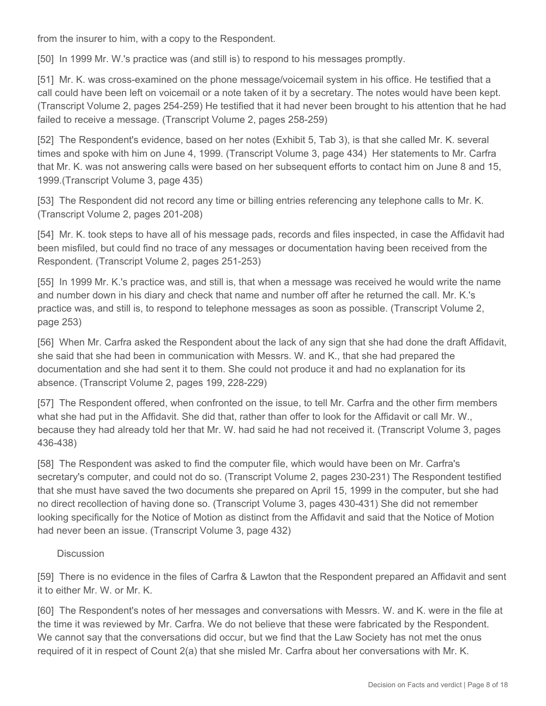from the insurer to him, with a copy to the Respondent.

[50] In 1999 Mr. W.'s practice was (and still is) to respond to his messages promptly.

[51] Mr. K. was cross-examined on the phone message/voicemail system in his office. He testified that a call could have been left on voicemail or a note taken of it by a secretary. The notes would have been kept. (Transcript Volume 2, pages 254-259) He testified that it had never been brought to his attention that he had failed to receive a message. (Transcript Volume 2, pages 258-259)

[52] The Respondent's evidence, based on her notes (Exhibit 5, Tab 3), is that she called Mr. K. several times and spoke with him on June 4, 1999. (Transcript Volume 3, page 434) Her statements to Mr. Carfra that Mr. K. was not answering calls were based on her subsequent efforts to contact him on June 8 and 15, 1999.(Transcript Volume 3, page 435)

[53] The Respondent did not record any time or billing entries referencing any telephone calls to Mr. K. (Transcript Volume 2, pages 201-208)

[54] Mr. K. took steps to have all of his message pads, records and files inspected, in case the Affidavit had been misfiled, but could find no trace of any messages or documentation having been received from the Respondent. (Transcript Volume 2, pages 251-253)

[55] In 1999 Mr. K.'s practice was, and still is, that when a message was received he would write the name and number down in his diary and check that name and number off after he returned the call. Mr. K.'s practice was, and still is, to respond to telephone messages as soon as possible. (Transcript Volume 2, page 253)

[56] When Mr. Carfra asked the Respondent about the lack of any sign that she had done the draft Affidavit, she said that she had been in communication with Messrs. W. and K., that she had prepared the documentation and she had sent it to them. She could not produce it and had no explanation for its absence. (Transcript Volume 2, pages 199, 228-229)

[57] The Respondent offered, when confronted on the issue, to tell Mr. Carfra and the other firm members what she had put in the Affidavit. She did that, rather than offer to look for the Affidavit or call Mr. W., because they had already told her that Mr. W. had said he had not received it. (Transcript Volume 3, pages 436-438)

[58] The Respondent was asked to find the computer file, which would have been on Mr. Carfra's secretary's computer, and could not do so. (Transcript Volume 2, pages 230-231) The Respondent testified that she must have saved the two documents she prepared on April 15, 1999 in the computer, but she had no direct recollection of having done so. (Transcript Volume 3, pages 430-431) She did not remember looking specifically for the Notice of Motion as distinct from the Affidavit and said that the Notice of Motion had never been an issue. (Transcript Volume 3, page 432)

#### Discussion

[59] There is no evidence in the files of Carfra & Lawton that the Respondent prepared an Affidavit and sent it to either Mr. W. or Mr. K.

[60] The Respondent's notes of her messages and conversations with Messrs. W. and K. were in the file at the time it was reviewed by Mr. Carfra. We do not believe that these were fabricated by the Respondent. We cannot say that the conversations did occur, but we find that the Law Society has not met the onus required of it in respect of Count 2(a) that she misled Mr. Carfra about her conversations with Mr. K.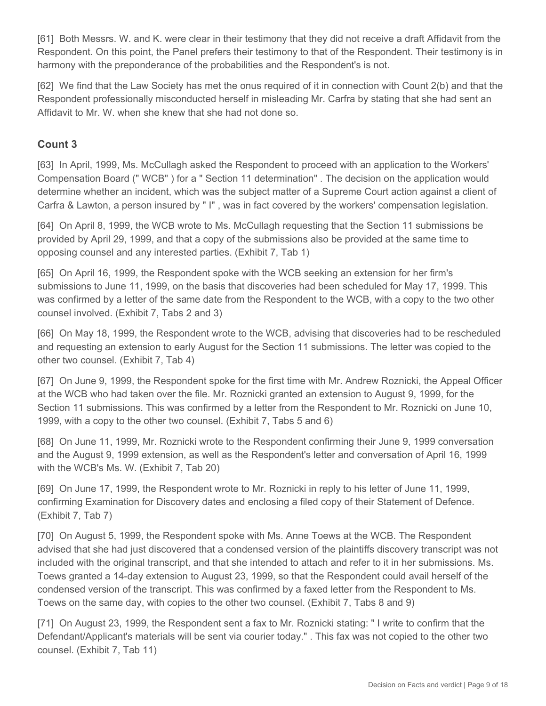[61] Both Messrs. W. and K. were clear in their testimony that they did not receive a draft Affidavit from the Respondent. On this point, the Panel prefers their testimony to that of the Respondent. Their testimony is in harmony with the preponderance of the probabilities and the Respondent's is not.

[62] We find that the Law Society has met the onus required of it in connection with Count 2(b) and that the Respondent professionally misconducted herself in misleading Mr. Carfra by stating that she had sent an Affidavit to Mr. W. when she knew that she had not done so.

# **Count 3**

[63] In April, 1999, Ms. McCullagh asked the Respondent to proceed with an application to the Workers' Compensation Board (" WCB" ) for a " Section 11 determination" . The decision on the application would determine whether an incident, which was the subject matter of a Supreme Court action against a client of Carfra & Lawton, a person insured by " I" , was in fact covered by the workers' compensation legislation.

[64] On April 8, 1999, the WCB wrote to Ms. McCullagh requesting that the Section 11 submissions be provided by April 29, 1999, and that a copy of the submissions also be provided at the same time to opposing counsel and any interested parties. (Exhibit 7, Tab 1)

[65] On April 16, 1999, the Respondent spoke with the WCB seeking an extension for her firm's submissions to June 11, 1999, on the basis that discoveries had been scheduled for May 17, 1999. This was confirmed by a letter of the same date from the Respondent to the WCB, with a copy to the two other counsel involved. (Exhibit 7, Tabs 2 and 3)

[66] On May 18, 1999, the Respondent wrote to the WCB, advising that discoveries had to be rescheduled and requesting an extension to early August for the Section 11 submissions. The letter was copied to the other two counsel. (Exhibit 7, Tab 4)

[67] On June 9, 1999, the Respondent spoke for the first time with Mr. Andrew Roznicki, the Appeal Officer at the WCB who had taken over the file. Mr. Roznicki granted an extension to August 9, 1999, for the Section 11 submissions. This was confirmed by a letter from the Respondent to Mr. Roznicki on June 10, 1999, with a copy to the other two counsel. (Exhibit 7, Tabs 5 and 6)

[68] On June 11, 1999, Mr. Roznicki wrote to the Respondent confirming their June 9, 1999 conversation and the August 9, 1999 extension, as well as the Respondent's letter and conversation of April 16, 1999 with the WCB's Ms. W. (Exhibit 7, Tab 20)

[69] On June 17, 1999, the Respondent wrote to Mr. Roznicki in reply to his letter of June 11, 1999, confirming Examination for Discovery dates and enclosing a filed copy of their Statement of Defence. (Exhibit 7, Tab 7)

[70] On August 5, 1999, the Respondent spoke with Ms. Anne Toews at the WCB. The Respondent advised that she had just discovered that a condensed version of the plaintiffs discovery transcript was not included with the original transcript, and that she intended to attach and refer to it in her submissions. Ms. Toews granted a 14-day extension to August 23, 1999, so that the Respondent could avail herself of the condensed version of the transcript. This was confirmed by a faxed letter from the Respondent to Ms. Toews on the same day, with copies to the other two counsel. (Exhibit 7, Tabs 8 and 9)

[71] On August 23, 1999, the Respondent sent a fax to Mr. Roznicki stating: " I write to confirm that the Defendant/Applicant's materials will be sent via courier today." . This fax was not copied to the other two counsel. (Exhibit 7, Tab 11)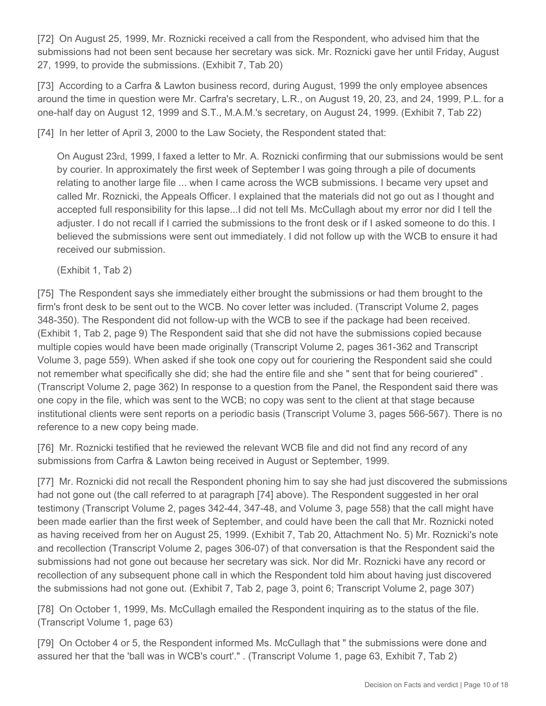[72] On August 25, 1999, Mr. Roznicki received a call from the Respondent, who advised him that the submissions had not been sent because her secretary was sick. Mr. Roznicki gave her until Friday, August 27, 1999, to provide the submissions. (Exhibit 7, Tab 20)

[73] According to a Carfra & Lawton business record, during August, 1999 the only employee absences around the time in question were Mr. Carfra's secretary, L.R., on August 19, 20, 23, and 24, 1999, P.L. for a one-half day on August 12, 1999 and S.T., M.A.M.'s secretary, on August 24, 1999. (Exhibit 7, Tab 22)

[74] In her letter of April 3, 2000 to the Law Society, the Respondent stated that:

On August 23rd, 1999, I faxed a letter to Mr. A. Roznicki confirming that our submissions would be sent by courier. In approximately the first week of September I was going through a pile of documents relating to another large file ... when I came across the WCB submissions. I became very upset and called Mr. Roznicki, the Appeals Officer. I explained that the materials did not go out as I thought and accepted full responsibility for this lapse...I did not tell Ms. McCullagh about my error nor did I tell the adjuster. I do not recall if I carried the submissions to the front desk or if I asked someone to do this. I believed the submissions were sent out immediately. I did not follow up with the WCB to ensure it had received our submission.

(Exhibit 1, Tab 2)

[75] The Respondent says she immediately either brought the submissions or had them brought to the firm's front desk to be sent out to the WCB. No cover letter was included. (Transcript Volume 2, pages 348-350). The Respondent did not follow-up with the WCB to see if the package had been received. (Exhibit 1, Tab 2, page 9) The Respondent said that she did not have the submissions copied because multiple copies would have been made originally (Transcript Volume 2, pages 361-362 and Transcript Volume 3, page 559). When asked if she took one copy out for couriering the Respondent said she could not remember what specifically she did; she had the entire file and she " sent that for being couriered" . (Transcript Volume 2, page 362) In response to a question from the Panel, the Respondent said there was one copy in the file, which was sent to the WCB; no copy was sent to the client at that stage because institutional clients were sent reports on a periodic basis (Transcript Volume 3, pages 566-567). There is no reference to a new copy being made.

[76] Mr. Roznicki testified that he reviewed the relevant WCB file and did not find any record of any submissions from Carfra & Lawton being received in August or September, 1999.

[77] Mr. Roznicki did not recall the Respondent phoning him to say she had just discovered the submissions had not gone out (the call referred to at paragraph [74] above). The Respondent suggested in her oral testimony (Transcript Volume 2, pages 342-44, 347-48, and Volume 3, page 558) that the call might have been made earlier than the first week of September, and could have been the call that Mr. Roznicki noted as having received from her on August 25, 1999. (Exhibit 7, Tab 20, Attachment No. 5) Mr. Roznicki's note and recollection (Transcript Volume 2, pages 306-07) of that conversation is that the Respondent said the submissions had not gone out because her secretary was sick. Nor did Mr. Roznicki have any record or recollection of any subsequent phone call in which the Respondent told him about having just discovered the submissions had not gone out. (Exhibit 7, Tab 2, page 3, point 6; Transcript Volume 2, page 307)

[78] On October 1, 1999, Ms. McCullagh emailed the Respondent inquiring as to the status of the file. (Transcript Volume 1, page 63)

[79] On October 4 or 5, the Respondent informed Ms. McCullagh that " the submissions were done and assured her that the 'ball was in WCB's court'." . (Transcript Volume 1, page 63, Exhibit 7, Tab 2)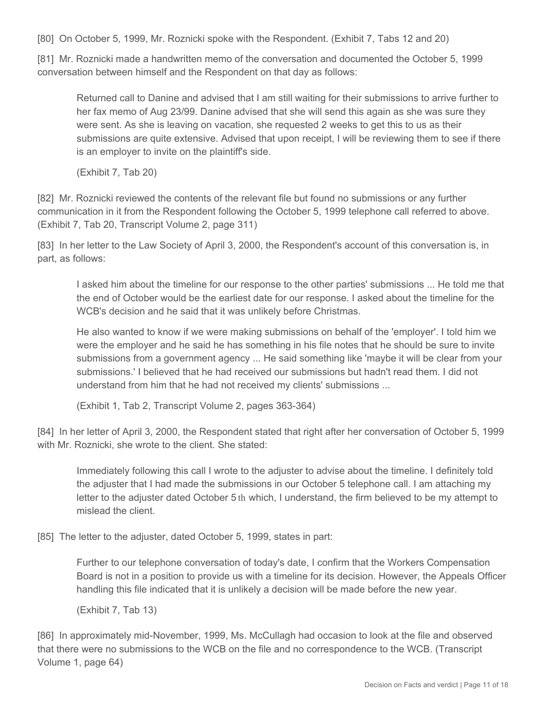[80] On October 5, 1999, Mr. Roznicki spoke with the Respondent. (Exhibit 7, Tabs 12 and 20)

[81] Mr. Roznicki made a handwritten memo of the conversation and documented the October 5, 1999 conversation between himself and the Respondent on that day as follows:

Returned call to Danine and advised that I am still waiting for their submissions to arrive further to her fax memo of Aug 23/99. Danine advised that she will send this again as she was sure they were sent. As she is leaving on vacation, she requested 2 weeks to get this to us as their submissions are quite extensive. Advised that upon receipt, I will be reviewing them to see if there is an employer to invite on the plaintiff's side.

(Exhibit 7, Tab 20)

[82] Mr. Roznicki reviewed the contents of the relevant file but found no submissions or any further communication in it from the Respondent following the October 5, 1999 telephone call referred to above. (Exhibit 7, Tab 20, Transcript Volume 2, page 311)

[83] In her letter to the Law Society of April 3, 2000, the Respondent's account of this conversation is, in part, as follows:

I asked him about the timeline for our response to the other parties' submissions ... He told me that the end of October would be the earliest date for our response. I asked about the timeline for the WCB's decision and he said that it was unlikely before Christmas.

He also wanted to know if we were making submissions on behalf of the 'employer'. I told him we were the employer and he said he has something in his file notes that he should be sure to invite submissions from a government agency ... He said something like 'maybe it will be clear from your submissions.' I believed that he had received our submissions but hadn't read them. I did not understand from him that he had not received my clients' submissions ...

(Exhibit 1, Tab 2, Transcript Volume 2, pages 363-364)

[84] In her letter of April 3, 2000, the Respondent stated that right after her conversation of October 5, 1999 with Mr. Roznicki, she wrote to the client. She stated:

Immediately following this call I wrote to the adjuster to advise about the timeline. I definitely told the adjuster that I had made the submissions in our October 5 telephone call. I am attaching my letter to the adjuster dated October 5 th which, I understand, the firm believed to be my attempt to mislead the client.

[85] The letter to the adjuster, dated October 5, 1999, states in part:

Further to our telephone conversation of today's date, I confirm that the Workers Compensation Board is not in a position to provide us with a timeline for its decision. However, the Appeals Officer handling this file indicated that it is unlikely a decision will be made before the new year.

(Exhibit 7, Tab 13)

[86] In approximately mid-November, 1999, Ms. McCullagh had occasion to look at the file and observed that there were no submissions to the WCB on the file and no correspondence to the WCB. (Transcript Volume 1, page 64)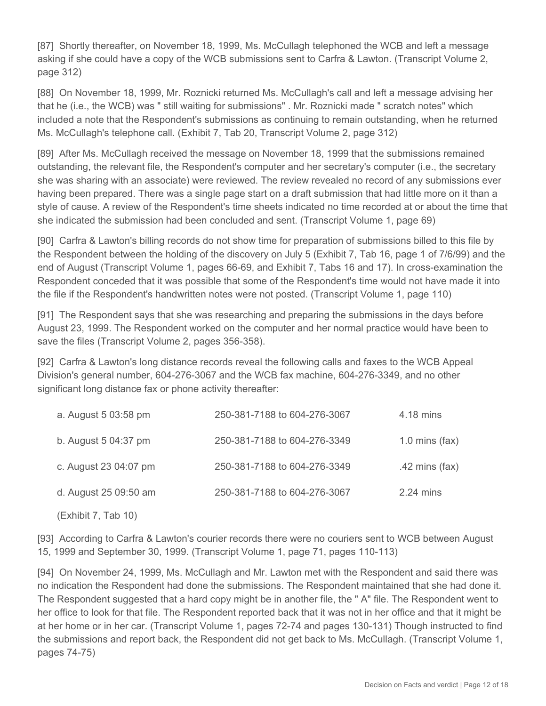[87] Shortly thereafter, on November 18, 1999, Ms. McCullagh telephoned the WCB and left a message asking if she could have a copy of the WCB submissions sent to Carfra & Lawton. (Transcript Volume 2, page 312)

[88] On November 18, 1999, Mr. Roznicki returned Ms. McCullagh's call and left a message advising her that he (i.e., the WCB) was " still waiting for submissions" . Mr. Roznicki made " scratch notes" which included a note that the Respondent's submissions as continuing to remain outstanding, when he returned Ms. McCullagh's telephone call. (Exhibit 7, Tab 20, Transcript Volume 2, page 312)

[89] After Ms. McCullagh received the message on November 18, 1999 that the submissions remained outstanding, the relevant file, the Respondent's computer and her secretary's computer (i.e., the secretary she was sharing with an associate) were reviewed. The review revealed no record of any submissions ever having been prepared. There was a single page start on a draft submission that had little more on it than a style of cause. A review of the Respondent's time sheets indicated no time recorded at or about the time that she indicated the submission had been concluded and sent. (Transcript Volume 1, page 69)

[90] Carfra & Lawton's billing records do not show time for preparation of submissions billed to this file by the Respondent between the holding of the discovery on July 5 (Exhibit 7, Tab 16, page 1 of 7/6/99) and the end of August (Transcript Volume 1, pages 66-69, and Exhibit 7, Tabs 16 and 17). In cross-examination the Respondent conceded that it was possible that some of the Respondent's time would not have made it into the file if the Respondent's handwritten notes were not posted. (Transcript Volume 1, page 110)

[91] The Respondent says that she was researching and preparing the submissions in the days before August 23, 1999. The Respondent worked on the computer and her normal practice would have been to save the files (Transcript Volume 2, pages 356-358).

[92] Carfra & Lawton's long distance records reveal the following calls and faxes to the WCB Appeal Division's general number, 604-276-3067 and the WCB fax machine, 604-276-3349, and no other significant long distance fax or phone activity thereafter:

| a. August 5 03:58 pm  | 250-381-7188 to 604-276-3067 | 4.18 mins        |
|-----------------------|------------------------------|------------------|
| b. August 5 04:37 pm  | 250-381-7188 to 604-276-3349 | 1.0 mins $(fax)$ |
| c. August 23 04:07 pm | 250-381-7188 to 604-276-3349 | .42 mins $(fax)$ |
| d. August 25 09:50 am | 250-381-7188 to 604-276-3067 | 2.24 mins        |
|                       |                              |                  |

(Exhibit 7, Tab 10)

[93] According to Carfra & Lawton's courier records there were no couriers sent to WCB between August 15, 1999 and September 30, 1999. (Transcript Volume 1, page 71, pages 110-113)

[94] On November 24, 1999, Ms. McCullagh and Mr. Lawton met with the Respondent and said there was no indication the Respondent had done the submissions. The Respondent maintained that she had done it. The Respondent suggested that a hard copy might be in another file, the " A" file. The Respondent went to her office to look for that file. The Respondent reported back that it was not in her office and that it might be at her home or in her car. (Transcript Volume 1, pages 72-74 and pages 130-131) Though instructed to find the submissions and report back, the Respondent did not get back to Ms. McCullagh. (Transcript Volume 1, pages 74-75)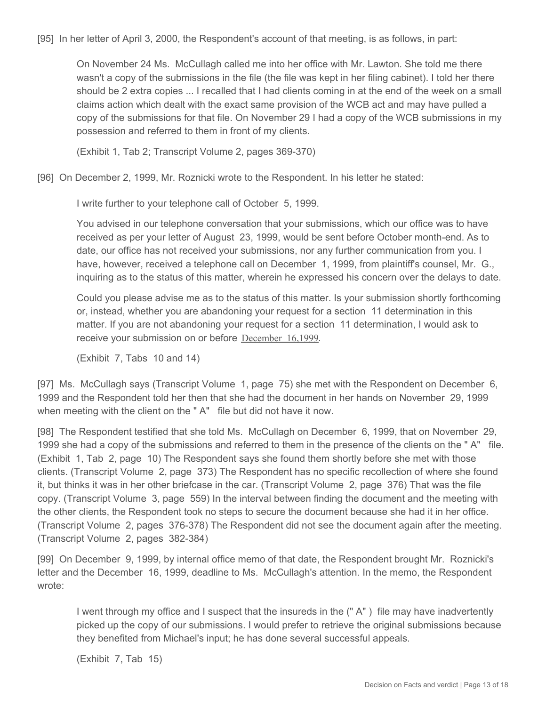[95] In her letter of April 3, 2000, the Respondent's account of that meeting, is as follows, in part:

On November 24 Ms. McCullagh called me into her office with Mr. Lawton. She told me there wasn't a copy of the submissions in the file (the file was kept in her filing cabinet). I told her there should be 2 extra copies ... I recalled that I had clients coming in at the end of the week on a small claims action which dealt with the exact same provision of the WCB act and may have pulled a copy of the submissions for that file. On November 29 I had a copy of the WCB submissions in my possession and referred to them in front of my clients.

(Exhibit 1, Tab 2; Transcript Volume 2, pages 369-370)

[96] On December 2, 1999, Mr. Roznicki wrote to the Respondent. In his letter he stated:

I write further to your telephone call of October 5, 1999.

You advised in our telephone conversation that your submissions, which our office was to have received as per your letter of August 23, 1999, would be sent before October month-end. As to date, our office has not received your submissions, nor any further communication from you. I have, however, received a telephone call on December 1, 1999, from plaintiff's counsel, Mr. G., inquiring as to the status of this matter, wherein he expressed his concern over the delays to date.

Could you please advise me as to the status of this matter. Is your submission shortly forthcoming or, instead, whether you are abandoning your request for a section 11 determination in this matter. If you are not abandoning your request for a section 11 determination, I would ask to receive your submission on or before December 16,1999.

(Exhibit 7, Tabs 10 and 14)

[97] Ms. McCullagh says (Transcript Volume 1, page 75) she met with the Respondent on December 6, 1999 and the Respondent told her then that she had the document in her hands on November 29, 1999 when meeting with the client on the "A" file but did not have it now.

[98] The Respondent testified that she told Ms. McCullagh on December 6, 1999, that on November 29, 1999 she had a copy of the submissions and referred to them in the presence of the clients on the " A" file. (Exhibit 1, Tab 2, page 10) The Respondent says she found them shortly before she met with those clients. (Transcript Volume 2, page 373) The Respondent has no specific recollection of where she found it, but thinks it was in her other briefcase in the car. (Transcript Volume 2, page 376) That was the file copy. (Transcript Volume 3, page 559) In the interval between finding the document and the meeting with the other clients, the Respondent took no steps to secure the document because she had it in her office. (Transcript Volume 2, pages 376-378) The Respondent did not see the document again after the meeting. (Transcript Volume 2, pages 382-384)

[99] On December 9, 1999, by internal office memo of that date, the Respondent brought Mr. Roznicki's letter and the December 16, 1999, deadline to Ms. McCullagh's attention. In the memo, the Respondent wrote:

I went through my office and I suspect that the insureds in the (" A" ) file may have inadvertently picked up the copy of our submissions. I would prefer to retrieve the original submissions because they benefited from Michael's input; he has done several successful appeals.

(Exhibit 7, Tab 15)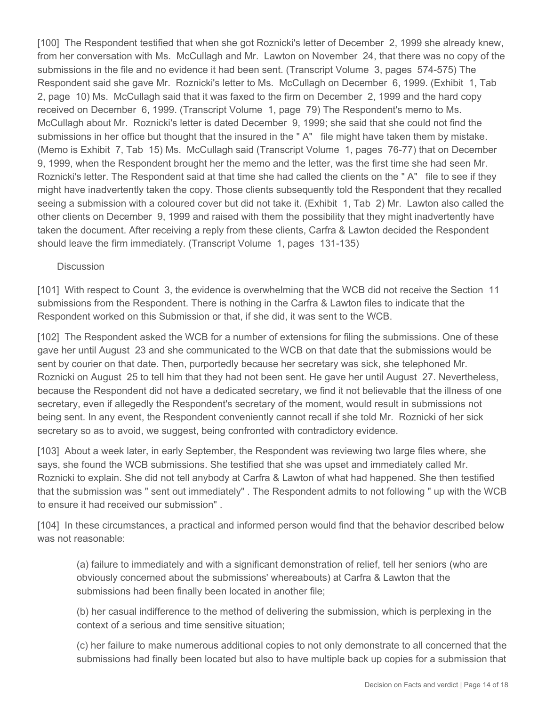[100] The Respondent testified that when she got Roznicki's letter of December 2, 1999 she already knew, from her conversation with Ms. McCullagh and Mr. Lawton on November 24, that there was no copy of the submissions in the file and no evidence it had been sent. (Transcript Volume 3, pages 574-575) The Respondent said she gave Mr. Roznicki's letter to Ms. McCullagh on December 6, 1999. (Exhibit 1, Tab 2, page 10) Ms. McCullagh said that it was faxed to the firm on December 2, 1999 and the hard copy received on December 6, 1999. (Transcript Volume 1, page 79) The Respondent's memo to Ms. McCullagh about Mr. Roznicki's letter is dated December 9, 1999; she said that she could not find the submissions in her office but thought that the insured in the "A" file might have taken them by mistake. (Memo is Exhibit 7, Tab 15) Ms. McCullagh said (Transcript Volume 1, pages 76-77) that on December 9, 1999, when the Respondent brought her the memo and the letter, was the first time she had seen Mr. Roznicki's letter. The Respondent said at that time she had called the clients on the " A" file to see if they might have inadvertently taken the copy. Those clients subsequently told the Respondent that they recalled seeing a submission with a coloured cover but did not take it. (Exhibit 1, Tab 2) Mr. Lawton also called the other clients on December 9, 1999 and raised with them the possibility that they might inadvertently have taken the document. After receiving a reply from these clients, Carfra & Lawton decided the Respondent should leave the firm immediately. (Transcript Volume 1, pages 131-135)

#### **Discussion**

[101] With respect to Count 3, the evidence is overwhelming that the WCB did not receive the Section 11 submissions from the Respondent. There is nothing in the Carfra & Lawton files to indicate that the Respondent worked on this Submission or that, if she did, it was sent to the WCB.

[102] The Respondent asked the WCB for a number of extensions for filing the submissions. One of these gave her until August 23 and she communicated to the WCB on that date that the submissions would be sent by courier on that date. Then, purportedly because her secretary was sick, she telephoned Mr. Roznicki on August 25 to tell him that they had not been sent. He gave her until August 27. Nevertheless, because the Respondent did not have a dedicated secretary, we find it not believable that the illness of one secretary, even if allegedly the Respondent's secretary of the moment, would result in submissions not being sent. In any event, the Respondent conveniently cannot recall if she told Mr. Roznicki of her sick secretary so as to avoid, we suggest, being confronted with contradictory evidence.

[103] About a week later, in early September, the Respondent was reviewing two large files where, she says, she found the WCB submissions. She testified that she was upset and immediately called Mr. Roznicki to explain. She did not tell anybody at Carfra & Lawton of what had happened. She then testified that the submission was " sent out immediately" . The Respondent admits to not following " up with the WCB to ensure it had received our submission" .

[104] In these circumstances, a practical and informed person would find that the behavior described below was not reasonable:

(a) failure to immediately and with a significant demonstration of relief, tell her seniors (who are obviously concerned about the submissions' whereabouts) at Carfra & Lawton that the submissions had been finally been located in another file;

(b) her casual indifference to the method of delivering the submission, which is perplexing in the context of a serious and time sensitive situation;

(c) her failure to make numerous additional copies to not only demonstrate to all concerned that the submissions had finally been located but also to have multiple back up copies for a submission that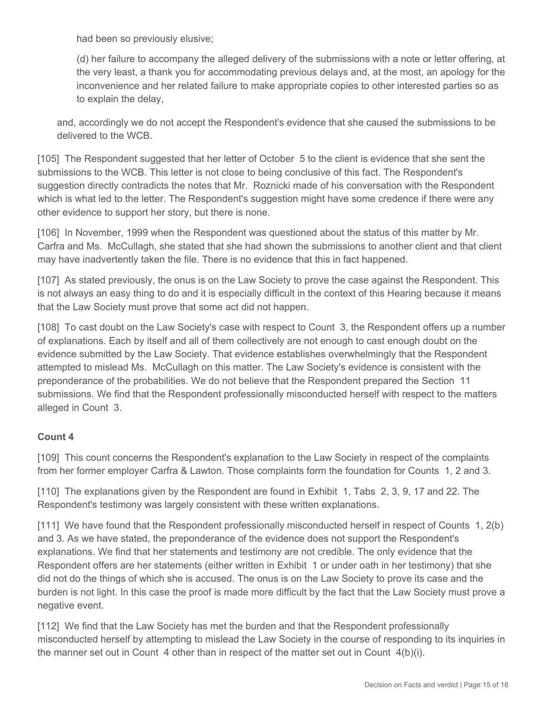had been so previously elusive;

(d) her failure to accompany the alleged delivery of the submissions with a note or letter offering, at the very least, a thank you for accommodating previous delays and, at the most, an apology for the inconvenience and her related failure to make appropriate copies to other interested parties so as to explain the delay,

and, accordingly we do not accept the Respondent's evidence that she caused the submissions to be delivered to the WCB.

[105] The Respondent suggested that her letter of October 5 to the client is evidence that she sent the submissions to the WCB. This letter is not close to being conclusive of this fact. The Respondent's suggestion directly contradicts the notes that Mr. Roznicki made of his conversation with the Respondent which is what led to the letter. The Respondent's suggestion might have some credence if there were any other evidence to support her story, but there is none.

[106] In November, 1999 when the Respondent was questioned about the status of this matter by Mr. Carfra and Ms. McCullagh, she stated that she had shown the submissions to another client and that client may have inadvertently taken the file. There is no evidence that this in fact happened.

[107] As stated previously, the onus is on the Law Society to prove the case against the Respondent. This is not always an easy thing to do and it is especially difficult in the context of this Hearing because it means that the Law Society must prove that some act did not happen.

[108] To cast doubt on the Law Society's case with respect to Count 3, the Respondent offers up a number of explanations. Each by itself and all of them collectively are not enough to cast enough doubt on the evidence submitted by the Law Society. That evidence establishes overwhelmingly that the Respondent attempted to mislead Ms. McCullagh on this matter. The Law Society's evidence is consistent with the preponderance of the probabilities. We do not believe that the Respondent prepared the Section 11 submissions. We find that the Respondent professionally misconducted herself with respect to the matters alleged in Count 3.

#### **Count 4**

[109] This count concerns the Respondent's explanation to the Law Society in respect of the complaints from her former employer Carfra & Lawton. Those complaints form the foundation for Counts 1, 2 and 3.

[110] The explanations given by the Respondent are found in Exhibit 1, Tabs 2, 3, 9, 17 and 22. The Respondent's testimony was largely consistent with these written explanations.

[111] We have found that the Respondent professionally misconducted herself in respect of Counts 1, 2(b) and 3. As we have stated, the preponderance of the evidence does not support the Respondent's explanations. We find that her statements and testimony are not credible. The only evidence that the Respondent offers are her statements (either written in Exhibit 1 or under oath in her testimony) that she did not do the things of which she is accused. The onus is on the Law Society to prove its case and the burden is not light. In this case the proof is made more difficult by the fact that the Law Society must prove a negative event.

[112] We find that the Law Society has met the burden and that the Respondent professionally misconducted herself by attempting to mislead the Law Society in the course of responding to its inquiries in the manner set out in Count 4 other than in respect of the matter set out in Count 4(b)(i).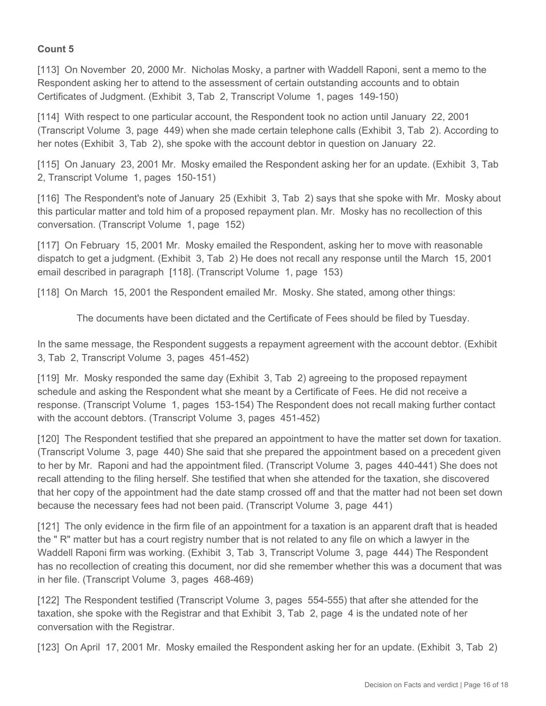### **Count 5**

[113] On November 20, 2000 Mr. Nicholas Mosky, a partner with Waddell Raponi, sent a memo to the Respondent asking her to attend to the assessment of certain outstanding accounts and to obtain Certificates of Judgment. (Exhibit 3, Tab 2, Transcript Volume 1, pages 149-150)

[114] With respect to one particular account, the Respondent took no action until January 22, 2001 (Transcript Volume 3, page 449) when she made certain telephone calls (Exhibit 3, Tab 2). According to her notes (Exhibit 3, Tab 2), she spoke with the account debtor in question on January 22.

[115] On January 23, 2001 Mr. Mosky emailed the Respondent asking her for an update. (Exhibit 3, Tab 2, Transcript Volume 1, pages 150-151)

[116] The Respondent's note of January 25 (Exhibit 3, Tab 2) says that she spoke with Mr. Mosky about this particular matter and told him of a proposed repayment plan. Mr. Mosky has no recollection of this conversation. (Transcript Volume 1, page 152)

[117] On February 15, 2001 Mr. Mosky emailed the Respondent, asking her to move with reasonable dispatch to get a judgment. (Exhibit 3, Tab 2) He does not recall any response until the March 15, 2001 email described in paragraph [118]. (Transcript Volume 1, page 153)

[118] On March 15, 2001 the Respondent emailed Mr. Mosky. She stated, among other things:

The documents have been dictated and the Certificate of Fees should be filed by Tuesday.

In the same message, the Respondent suggests a repayment agreement with the account debtor. (Exhibit 3, Tab 2, Transcript Volume 3, pages 451-452)

[119] Mr. Mosky responded the same day (Exhibit 3, Tab 2) agreeing to the proposed repayment schedule and asking the Respondent what she meant by a Certificate of Fees. He did not receive a response. (Transcript Volume 1, pages 153-154) The Respondent does not recall making further contact with the account debtors. (Transcript Volume 3, pages 451-452)

[120] The Respondent testified that she prepared an appointment to have the matter set down for taxation. (Transcript Volume 3, page 440) She said that she prepared the appointment based on a precedent given to her by Mr. Raponi and had the appointment filed. (Transcript Volume 3, pages 440-441) She does not recall attending to the filing herself. She testified that when she attended for the taxation, she discovered that her copy of the appointment had the date stamp crossed off and that the matter had not been set down because the necessary fees had not been paid. (Transcript Volume 3, page 441)

[121] The only evidence in the firm file of an appointment for a taxation is an apparent draft that is headed the " R" matter but has a court registry number that is not related to any file on which a lawyer in the Waddell Raponi firm was working. (Exhibit 3, Tab 3, Transcript Volume 3, page 444) The Respondent has no recollection of creating this document, nor did she remember whether this was a document that was in her file. (Transcript Volume 3, pages 468-469)

[122] The Respondent testified (Transcript Volume 3, pages 554-555) that after she attended for the taxation, she spoke with the Registrar and that Exhibit 3, Tab 2, page 4 is the undated note of her conversation with the Registrar.

[123] On April 17, 2001 Mr. Mosky emailed the Respondent asking her for an update. (Exhibit 3, Tab 2)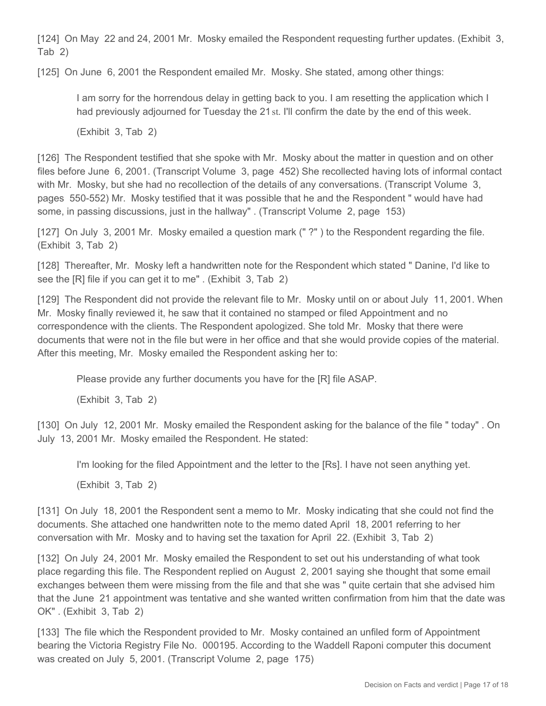[124] On May 22 and 24, 2001 Mr. Mosky emailed the Respondent requesting further updates. (Exhibit 3, Tab 2)

[125] On June 6, 2001 the Respondent emailed Mr. Mosky. She stated, among other things:

I am sorry for the horrendous delay in getting back to you. I am resetting the application which I had previously adjourned for Tuesday the 21st. I'll confirm the date by the end of this week.

(Exhibit 3, Tab 2)

[126] The Respondent testified that she spoke with Mr. Mosky about the matter in question and on other files before June 6, 2001. (Transcript Volume 3, page 452) She recollected having lots of informal contact with Mr. Mosky, but she had no recollection of the details of any conversations. (Transcript Volume 3, pages 550-552) Mr. Mosky testified that it was possible that he and the Respondent " would have had some, in passing discussions, just in the hallway" . (Transcript Volume 2, page 153)

[127] On July 3, 2001 Mr. Mosky emailed a question mark ("?") to the Respondent regarding the file. (Exhibit 3, Tab 2)

[128] Thereafter, Mr. Mosky left a handwritten note for the Respondent which stated "Danine, I'd like to see the [R] file if you can get it to me" . (Exhibit 3, Tab 2)

[129] The Respondent did not provide the relevant file to Mr. Mosky until on or about July 11, 2001. When Mr. Mosky finally reviewed it, he saw that it contained no stamped or filed Appointment and no correspondence with the clients. The Respondent apologized. She told Mr. Mosky that there were documents that were not in the file but were in her office and that she would provide copies of the material. After this meeting, Mr. Mosky emailed the Respondent asking her to:

Please provide any further documents you have for the [R] file ASAP.

(Exhibit 3, Tab 2)

[130] On July 12, 2001 Mr. Mosky emailed the Respondent asking for the balance of the file " today" . On July 13, 2001 Mr. Mosky emailed the Respondent. He stated:

I'm looking for the filed Appointment and the letter to the [Rs]. I have not seen anything yet.

(Exhibit 3, Tab 2)

[131] On July 18, 2001 the Respondent sent a memo to Mr. Mosky indicating that she could not find the documents. She attached one handwritten note to the memo dated April 18, 2001 referring to her conversation with Mr. Mosky and to having set the taxation for April 22. (Exhibit 3, Tab 2)

[132] On July 24, 2001 Mr. Mosky emailed the Respondent to set out his understanding of what took place regarding this file. The Respondent replied on August 2, 2001 saying she thought that some email exchanges between them were missing from the file and that she was " quite certain that she advised him that the June 21 appointment was tentative and she wanted written confirmation from him that the date was OK" . (Exhibit 3, Tab 2)

[133] The file which the Respondent provided to Mr. Mosky contained an unfiled form of Appointment bearing the Victoria Registry File No. 000195. According to the Waddell Raponi computer this document was created on July 5, 2001. (Transcript Volume 2, page 175)